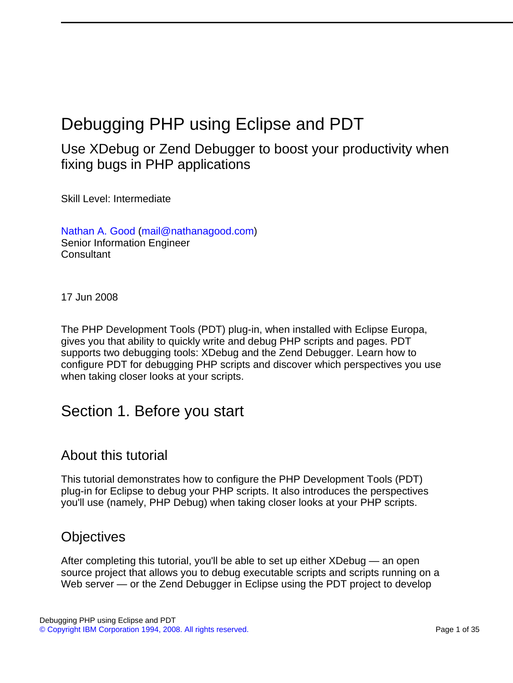# <span id="page-0-0"></span>Debugging PHP using Eclipse and PDT

Use XDebug or Zend Debugger to boost your productivity when fixing bugs in PHP applications

Skill Level: Intermediate

[Nathan A. Good](#page-34-0) [\(mail@nathanagood.com](mailto:mail@nathanagood.com)) Senior Information Engineer **Consultant** 

17 Jun 2008

The PHP Development Tools (PDT) plug-in, when installed with Eclipse Europa, gives you that ability to quickly write and debug PHP scripts and pages. PDT supports two debugging tools: XDebug and the Zend Debugger. Learn how to configure PDT for debugging PHP scripts and discover which perspectives you use when taking closer looks at your scripts.

# Section 1. Before you start

### About this tutorial

This tutorial demonstrates how to configure the PHP Development Tools (PDT) plug-in for Eclipse to debug your PHP scripts. It also introduces the perspectives you'll use (namely, PHP Debug) when taking closer looks at your PHP scripts.

### **Objectives**

After completing this tutorial, you'll be able to set up either XDebug — an open source project that allows you to debug executable scripts and scripts running on a Web server — or the Zend Debugger in Eclipse using the PDT project to develop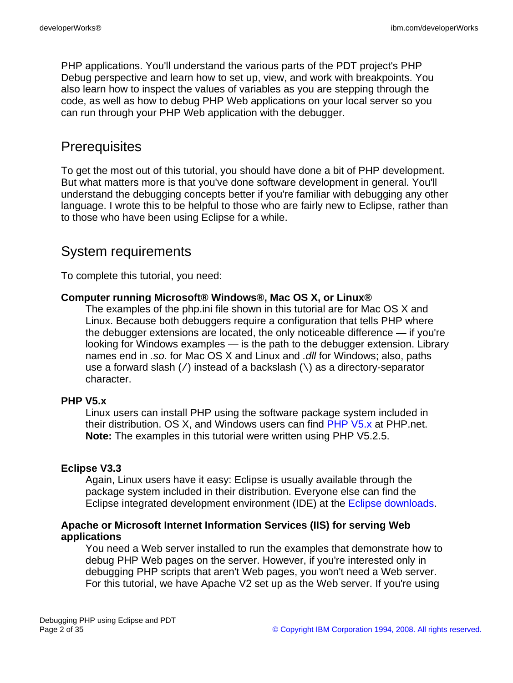PHP applications. You'll understand the various parts of the PDT project's PHP Debug perspective and learn how to set up, view, and work with breakpoints. You also learn how to inspect the values of variables as you are stepping through the code, as well as how to debug PHP Web applications on your local server so you can run through your PHP Web application with the debugger.

### **Prerequisites**

To get the most out of this tutorial, you should have done a bit of PHP development. But what matters more is that you've done software development in general. You'll understand the debugging concepts better if you're familiar with debugging any other language. I wrote this to be helpful to those who are fairly new to Eclipse, rather than to those who have been using Eclipse for a while.

### System requirements

To complete this tutorial, you need:

#### **Computer running Microsoft® Windows®, Mac OS X, or Linux®**

The examples of the php.ini file shown in this tutorial are for Mac OS X and Linux. Because both debuggers require a configuration that tells PHP where the debugger extensions are located, the only noticeable difference — if you're looking for Windows examples — is the path to the debugger extension. Library names end in .so. for Mac OS X and Linux and .dll for Windows; also, paths use a forward slash ( $\prime$ ) instead of a backslash ( $\setminus$ ) as a directory-separator character.

#### **PHP V5.x**

Linux users can install PHP using the software package system included in their distribution. OS X, and Windows users can find [PHP V5.x](http://www.php.net/downloads.php) at PHP.net. **Note:** The examples in this tutorial were written using PHP V5.2.5.

#### **Eclipse V3.3**

Again, Linux users have it easy: Eclipse is usually available through the package system included in their distribution. Everyone else can find the Eclipse integrated development environment (IDE) at the [Eclipse downloads](http://www.eclipse.org/downloads/).

#### **Apache or Microsoft Internet Information Services (IIS) for serving Web applications**

You need a Web server installed to run the examples that demonstrate how to debug PHP Web pages on the server. However, if you're interested only in debugging PHP scripts that aren't Web pages, you won't need a Web server. For this tutorial, we have Apache V2 set up as the Web server. If you're using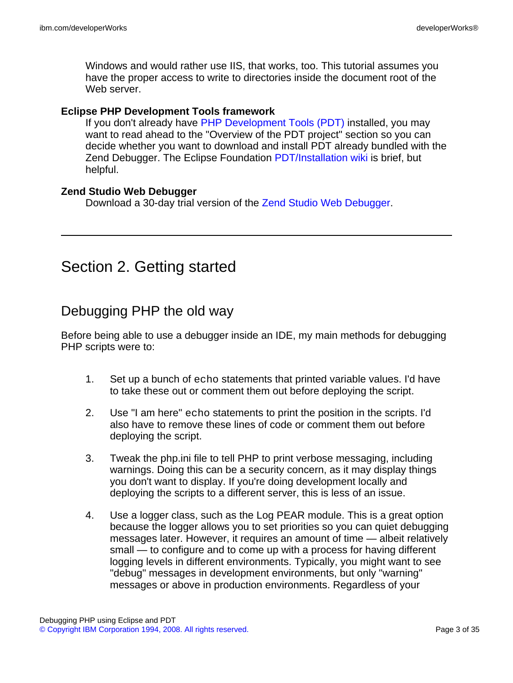Windows and would rather use IIS, that works, too. This tutorial assumes you have the proper access to write to directories inside the document root of the Web server.

#### **Eclipse PHP Development Tools framework**

If you don't already have [PHP Development Tools \(PDT\)](http://www.eclipse.org/pdt/) installed, you may want to read ahead to the "Overview of the PDT project" section so you can decide whether you want to download and install PDT already bundled with the Zend Debugger. The Eclipse Foundation [PDT/Installation wiki](http://wiki.eclipse.org/PDT/Installation) is brief, but helpful.

#### **Zend Studio Web Debugger**

Download a 30-day trial version of the [Zend Studio Web Debugger.](http://www.zend.com/en/downloads/)

# Section 2. Getting started

# Debugging PHP the old way

Before being able to use a debugger inside an IDE, my main methods for debugging PHP scripts were to:

- 1. Set up a bunch of echo statements that printed variable values. I'd have to take these out or comment them out before deploying the script.
- 2. Use "I am here" echo statements to print the position in the scripts. I'd also have to remove these lines of code or comment them out before deploying the script.
- 3. Tweak the php.ini file to tell PHP to print verbose messaging, including warnings. Doing this can be a security concern, as it may display things you don't want to display. If you're doing development locally and deploying the scripts to a different server, this is less of an issue.
- 4. Use a logger class, such as the Log PEAR module. This is a great option because the logger allows you to set priorities so you can quiet debugging messages later. However, it requires an amount of time — albeit relatively small — to configure and to come up with a process for having different logging levels in different environments. Typically, you might want to see "debug" messages in development environments, but only "warning" messages or above in production environments. Regardless of your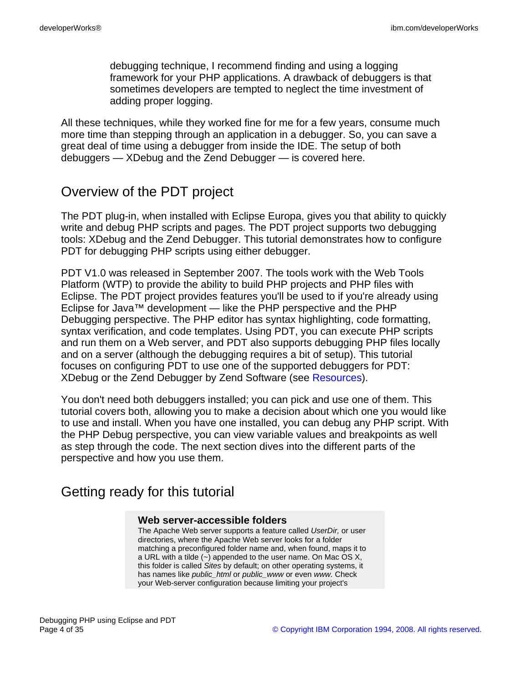debugging technique, I recommend finding and using a logging framework for your PHP applications. A drawback of debuggers is that sometimes developers are tempted to neglect the time investment of adding proper logging.

All these techniques, while they worked fine for me for a few years, consume much more time than stepping through an application in a debugger. So, you can save a great deal of time using a debugger from inside the IDE. The setup of both debuggers — XDebug and the Zend Debugger — is covered here.

## Overview of the PDT project

The PDT plug-in, when installed with Eclipse Europa, gives you that ability to quickly write and debug PHP scripts and pages. The PDT project supports two debugging tools: XDebug and the Zend Debugger. This tutorial demonstrates how to configure PDT for debugging PHP scripts using either debugger.

PDT V1.0 was released in September 2007. The tools work with the Web Tools Platform (WTP) to provide the ability to build PHP projects and PHP files with Eclipse. The PDT project provides features you'll be used to if you're already using Eclipse for Java™ development — like the PHP perspective and the PHP Debugging perspective. The PHP editor has syntax highlighting, code formatting, syntax verification, and code templates. Using PDT, you can execute PHP scripts and run them on a Web server, and PDT also supports debugging PHP files locally and on a server (although the debugging requires a bit of setup). This tutorial focuses on configuring PDT to use one of the supported debuggers for PDT: XDebug or the Zend Debugger by Zend Software (see [Resources\)](#page-33-0).

You don't need both debuggers installed; you can pick and use one of them. This tutorial covers both, allowing you to make a decision about which one you would like to use and install. When you have one installed, you can debug any PHP script. With the PHP Debug perspective, you can view variable values and breakpoints as well as step through the code. The next section dives into the different parts of the perspective and how you use them.

# Getting ready for this tutorial

#### **Web server-accessible folders**

The Apache Web server supports a feature called UserDir, or user directories, where the Apache Web server looks for a folder matching a preconfigured folder name and, when found, maps it to a URL with a tilde  $(\sim)$  appended to the user name. On Mac OS X, this folder is called Sites by default; on other operating systems, it has names like public\_html or public\_www or even www. Check your Web-server configuration because limiting your project's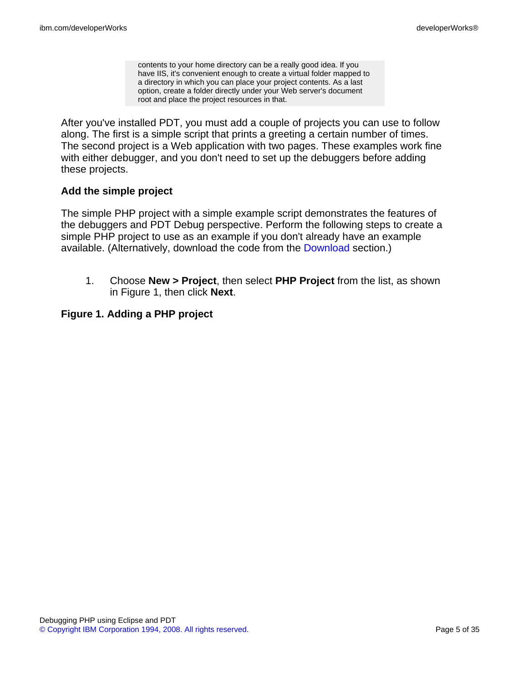contents to your home directory can be a really good idea. If you have IIS, it's convenient enough to create a virtual folder mapped to a directory in which you can place your project contents. As a last option, create a folder directly under your Web server's document root and place the project resources in that.

After you've installed PDT, you must add a couple of projects you can use to follow along. The first is a simple script that prints a greeting a certain number of times. The second project is a Web application with two pages. These examples work fine with either debugger, and you don't need to set up the debuggers before adding these projects.

#### **Add the simple project**

The simple PHP project with a simple example script demonstrates the features of the debuggers and PDT Debug perspective. Perform the following steps to create a simple PHP project to use as an example if you don't already have an example available. (Alternatively, download the code from the [Download](#page-32-0) section.)

1. Choose **New > Project**, then select **PHP Project** from the list, as shown in Figure 1, then click **Next**.

#### **Figure 1. Adding a PHP project**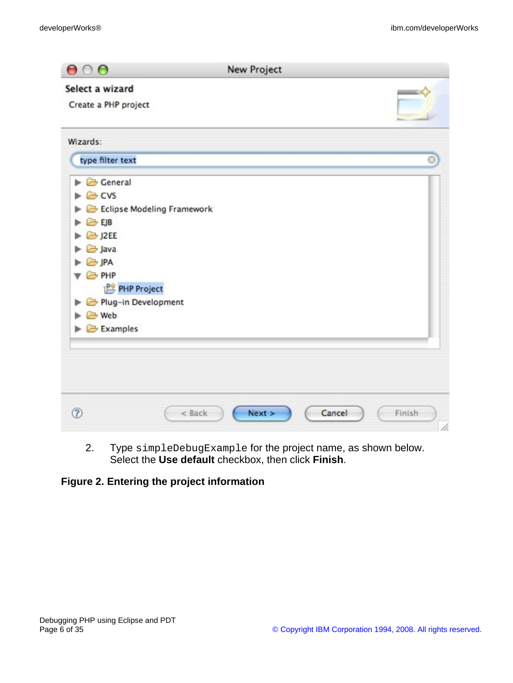|                                          | <b>New Project</b> |   |
|------------------------------------------|--------------------|---|
| Select a wizard                          |                    |   |
| Create a PHP project                     |                    |   |
| Wizards:                                 |                    |   |
| type filter text                         |                    | O |
| $\triangleright$ $\ominus$ General       |                    |   |
| $\triangleright \emptyset$ CVS           |                    |   |
| Eclipse Modeling Framework               |                    |   |
| <b>B</b> EJB                             |                    |   |
| 2 J2EE                                   |                    |   |
| <b>B</b> Java                            |                    |   |
| $\blacktriangleright \text{C}$ JPA       |                    |   |
| <b>B</b> PHP                             |                    |   |
| PHP Project                              |                    |   |
| Plug-in Development<br>►                 |                    |   |
| C Web                                    |                    |   |
| $\blacktriangleright \bigoplus$ Examples |                    |   |

2. Type simpleDebugExample for the project name, as shown below. Select the **Use default** checkbox, then click **Finish**.

### **Figure 2. Entering the project information**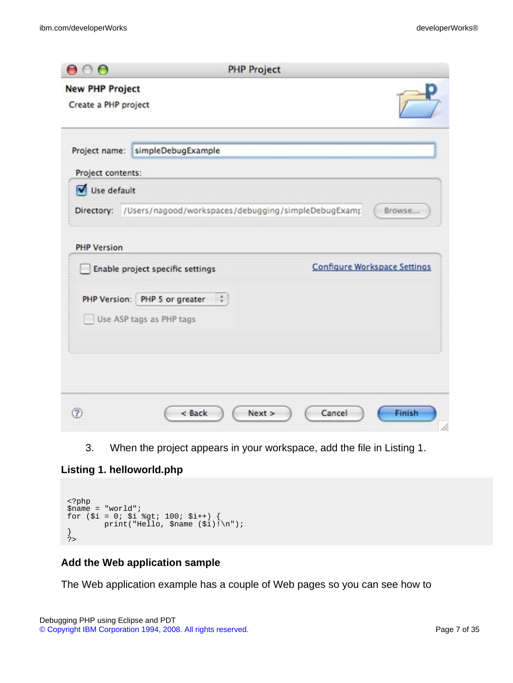| $\mathbf{\Theta} \cap \mathbf{\Theta}$         |                                                | <b>PHP Project</b>                                                       |
|------------------------------------------------|------------------------------------------------|--------------------------------------------------------------------------|
| <b>New PHP Project</b><br>Create a PHP project |                                                |                                                                          |
|                                                | Project name: simpleDebugExample               |                                                                          |
| Project contents:                              |                                                |                                                                          |
| Use default                                    |                                                |                                                                          |
|                                                |                                                | Directory: /Users/nagood/workspaces/debugging/simpleDebugExamp<br>Browse |
| <b>PHP Version</b>                             |                                                |                                                                          |
|                                                | Enable project specific settings               | <b>Configure Workspace Settings</b>                                      |
|                                                | PHP Version: PHP 5 or greater $\ddot{\ddot{}}$ |                                                                          |
|                                                | Use ASP tags as PHP tags                       |                                                                          |
|                                                | < Back                                         | Finish<br>Cancel<br>Next ><br>h.                                         |

3. When the project appears in your workspace, add the file in Listing 1.

### **Listing 1. helloworld.php**

```
<?php
$name = "world";
for (\frac{1}{2}i = 0; \frac{1}{2}i \frac{100}{100}; \frac{1}{2}i++) {
           print("Hello, $name ($i)!\n");
}
?>
```
#### **Add the Web application sample**

The Web application example has a couple of Web pages so you can see how to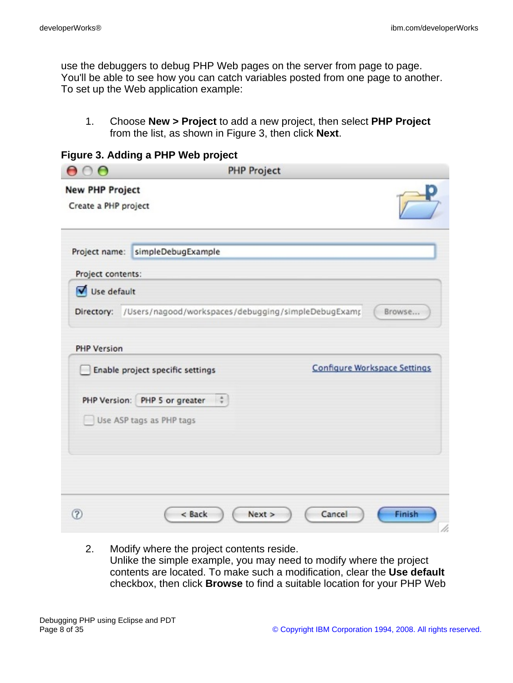use the debuggers to debug PHP Web pages on the server from page to page. You'll be able to see how you can catch variables posted from one page to another. To set up the Web application example:

1. Choose **New > Project** to add a new project, then select **PHP Project** from the list, as shown in Figure 3, then click **Next**.

|  | Figure 3. Adding a PHP Web project |  |  |  |
|--|------------------------------------|--|--|--|
|--|------------------------------------|--|--|--|

| Browse                              |
|-------------------------------------|
|                                     |
|                                     |
| <b>Configure Workspace Settings</b> |
|                                     |
|                                     |
|                                     |
|                                     |
|                                     |

2. Modify where the project contents reside. Unlike the simple example, you may need to modify where the project contents are located. To make such a modification, clear the **Use default** checkbox, then click **Browse** to find a suitable location for your PHP Web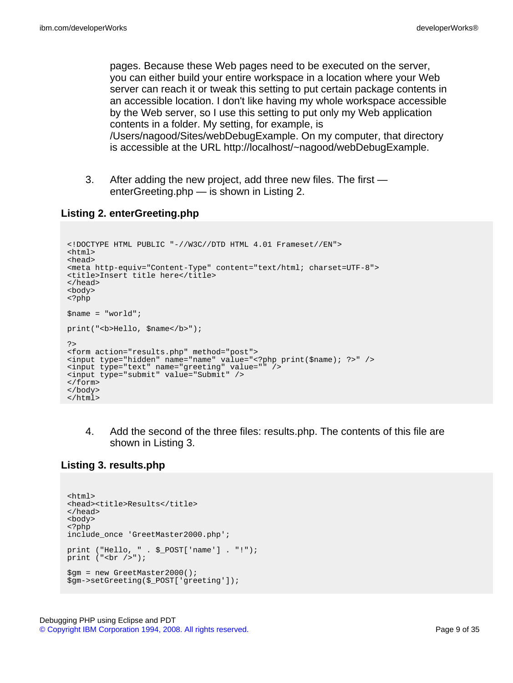pages. Because these Web pages need to be executed on the server, you can either build your entire workspace in a location where your Web server can reach it or tweak this setting to put certain package contents in an accessible location. I don't like having my whole workspace accessible by the Web server, so I use this setting to put only my Web application contents in a folder. My setting, for example, is /Users/nagood/Sites/webDebugExample. On my computer, that directory is accessible at the URL http://localhost/~nagood/webDebugExample.

3. After adding the new project, add three new files. The first enterGreeting.php — is shown in Listing 2.

#### **Listing 2. enterGreeting.php**

```
<!DOCTYPE HTML PUBLIC "-//W3C//DTD HTML 4.01 Frameset//EN">
<html>
<head>
<meta http-equiv="Content-Type" content="text/html; charset=UTF-8">
<title>Insert title here</title>
</head>
<body>
<?php
$name = "world";
print("<b>Hello, $name</b>");
?>
<form action="results.php" method="post">
<input type="hidden" name="name" value="<?php print($name); ?>" />
<input type="text" name="greeting" value="" />
<input type="submit" value="Submit" />
</form>
</body>
</html>
```
4. Add the second of the three files: results.php. The contents of this file are shown in Listing 3.

#### **Listing 3. results.php**

```
<h+ml><head><title>Results</title>
</head>
<body>
<?php
include_once 'GreetMaster2000.php';
print ("Hello, " . $_POST['name'] . "!");
print ("<br>2");
$gm = new GreetMaster2000();
$gm->setGreeting($_POST['greeting']);
```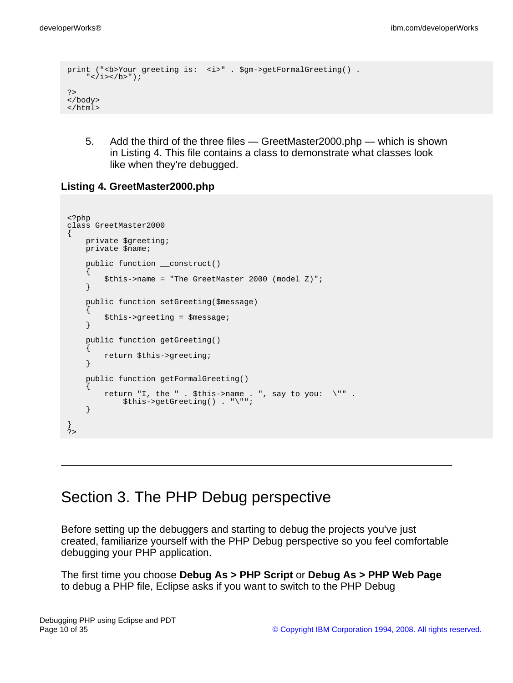```
print ("<b>Your greeting is: <i>" . $gm->getFormalGreeting() .
    "</i></b>");
?>
</body>
\langle/html>
```
5. Add the third of the three files — GreetMaster2000.php — which is shown in Listing 4. This file contains a class to demonstrate what classes look like when they're debugged.

#### **Listing 4. GreetMaster2000.php**

```
<?php
class GreetMaster2000
{
    private $greeting;
   private $name;
    public function __construct()
    {
        $this->name = "The GreetMaster 2000 (model Z)";
    }
   public function setGreeting($message)
    {
        $this->greeting = $message;
    }
    public function getGreeting()
    {
        return $this->greeting;
    }
    public function getFormalGreeting()
    {
        return "I, the " . $this->name . ", say to you: \"" .
            $this->getGreeting() . "\"";
    }
}
?>
```
# Section 3. The PHP Debug perspective

Before setting up the debuggers and starting to debug the projects you've just created, familiarize yourself with the PHP Debug perspective so you feel comfortable debugging your PHP application.

The first time you choose **Debug As > PHP Script** or **Debug As > PHP Web Page** to debug a PHP file, Eclipse asks if you want to switch to the PHP Debug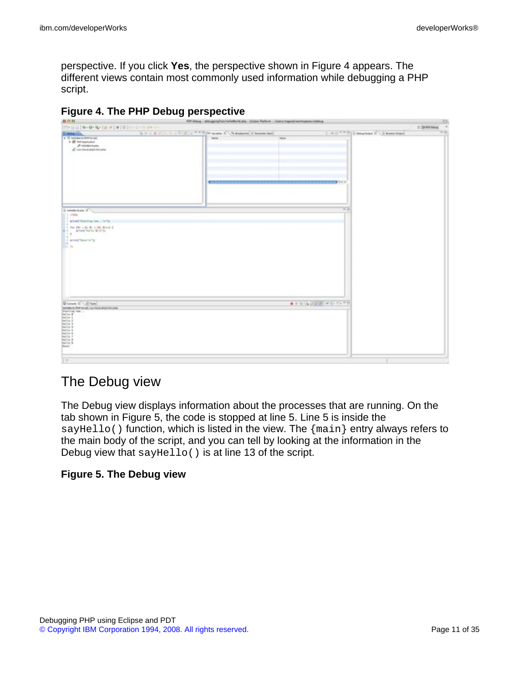perspective. If you click **Yes**, the perspective shown in Figure 4 appears. The different views contain most commonly used information while debugging a PHP script.



| <b>AREA BALL</b>                                                            |                                                                                                                                                                                                                                |      | Link Ontario - quanditional and personal rights - crucing automore - Links rundlesse annualment seasons |                                                                                            | a Serbi<br>$\frac{1}{2}$ in the behavior $\frac{1}{2}$ |
|-----------------------------------------------------------------------------|--------------------------------------------------------------------------------------------------------------------------------------------------------------------------------------------------------------------------------|------|---------------------------------------------------------------------------------------------------------|--------------------------------------------------------------------------------------------|--------------------------------------------------------|
| 29:日日  9:0-9:  のマ  ※  日   (1):5:5:0+5:                                      |                                                                                                                                                                                                                                |      |                                                                                                         |                                                                                            | $= 0$                                                  |
| Co January (13)<br><b>T. If nowed persons</b><br><b>v &amp; Hritageness</b> | THE R. P. LEWIS CO., LANSING, MICH. 49-14039-1-120-2: A PARTIES OF THE RESIDENCE OF THE RESIDENCE OF THE RESIDENCE OF THE RESIDENCE OF THE RESIDENCE OF THE RESIDENCE OF THE RESIDENCE OF THE RESIDENCE OF THE RESIDENCE OF TH | tune | <b>Value</b>                                                                                            | $[-\partial_1\Box^{-1-\alpha}\Box']$ is being better $\Box\diagdown\diagup$ if these these |                                                        |
| A heletteridate<br>all increases and services                               |                                                                                                                                                                                                                                |      |                                                                                                         |                                                                                            |                                                        |
|                                                                             |                                                                                                                                                                                                                                |      |                                                                                                         |                                                                                            |                                                        |
|                                                                             |                                                                                                                                                                                                                                |      |                                                                                                         |                                                                                            |                                                        |
|                                                                             |                                                                                                                                                                                                                                |      |                                                                                                         |                                                                                            |                                                        |
|                                                                             |                                                                                                                                                                                                                                |      |                                                                                                         |                                                                                            |                                                        |
|                                                                             |                                                                                                                                                                                                                                |      |                                                                                                         |                                                                                            |                                                        |
|                                                                             |                                                                                                                                                                                                                                |      |                                                                                                         |                                                                                            |                                                        |
|                                                                             |                                                                                                                                                                                                                                |      |                                                                                                         |                                                                                            |                                                        |
|                                                                             |                                                                                                                                                                                                                                |      |                                                                                                         |                                                                                            |                                                        |
| E telefonizine II<br>E. L. villater                                         |                                                                                                                                                                                                                                |      |                                                                                                         | $-1$                                                                                       |                                                        |
| I print("Starting nos in");                                                 |                                                                                                                                                                                                                                |      |                                                                                                         |                                                                                            |                                                        |
| $\frac{1}{2}$ As: (H $\approx$ H) B, $\approx$ (H) R(ss) I                  |                                                                                                                                                                                                                                |      |                                                                                                         |                                                                                            |                                                        |
| $0 + 3$                                                                     |                                                                                                                                                                                                                                |      |                                                                                                         |                                                                                            |                                                        |
| $\sim$<br>$\frac{1}{\lambda}$ is the<br>Classifically $\lambda$             |                                                                                                                                                                                                                                |      |                                                                                                         |                                                                                            |                                                        |
| 11.7 <sub>0</sub>                                                           |                                                                                                                                                                                                                                |      |                                                                                                         |                                                                                            |                                                        |
|                                                                             |                                                                                                                                                                                                                                |      |                                                                                                         |                                                                                            |                                                        |
|                                                                             |                                                                                                                                                                                                                                |      |                                                                                                         |                                                                                            |                                                        |
|                                                                             |                                                                                                                                                                                                                                |      |                                                                                                         |                                                                                            |                                                        |
|                                                                             |                                                                                                                                                                                                                                |      |                                                                                                         |                                                                                            |                                                        |
|                                                                             |                                                                                                                                                                                                                                |      |                                                                                                         |                                                                                            |                                                        |
|                                                                             |                                                                                                                                                                                                                                |      |                                                                                                         |                                                                                            |                                                        |
|                                                                             |                                                                                                                                                                                                                                |      |                                                                                                         |                                                                                            |                                                        |
| D Console 12 \ 22 Yarks)                                                    |                                                                                                                                                                                                                                |      |                                                                                                         | a selection except to                                                                      |                                                        |
| Installate 200 Scraft, Louisval and Annahe<br>District Abb                  |                                                                                                                                                                                                                                |      |                                                                                                         |                                                                                            |                                                        |
|                                                                             |                                                                                                                                                                                                                                |      |                                                                                                         |                                                                                            |                                                        |
|                                                                             |                                                                                                                                                                                                                                |      |                                                                                                         |                                                                                            |                                                        |
|                                                                             |                                                                                                                                                                                                                                |      |                                                                                                         |                                                                                            |                                                        |
|                                                                             |                                                                                                                                                                                                                                |      |                                                                                                         |                                                                                            |                                                        |
|                                                                             |                                                                                                                                                                                                                                |      |                                                                                                         |                                                                                            |                                                        |
|                                                                             |                                                                                                                                                                                                                                |      |                                                                                                         |                                                                                            |                                                        |
|                                                                             |                                                                                                                                                                                                                                |      |                                                                                                         |                                                                                            |                                                        |
| $F^*$                                                                       |                                                                                                                                                                                                                                |      |                                                                                                         |                                                                                            |                                                        |
|                                                                             |                                                                                                                                                                                                                                |      |                                                                                                         |                                                                                            |                                                        |

# The Debug view

The Debug view displays information about the processes that are running. On the tab shown in Figure 5, the code is stopped at line 5. Line 5 is inside the  $sayHello()$  function, which is listed in the view. The  $\{main\}$  entry always refers to the main body of the script, and you can tell by looking at the information in the Debug view that say Hello() is at line 13 of the script.

#### **Figure 5. The Debug view**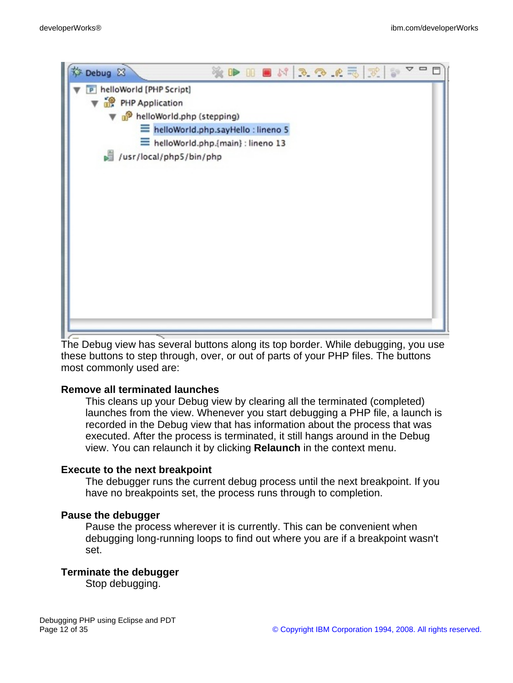

The Debug view has several buttons along its top border. While debugging, you use these buttons to step through, over, or out of parts of your PHP files. The buttons most commonly used are:

#### **Remove all terminated launches**

This cleans up your Debug view by clearing all the terminated (completed) launches from the view. Whenever you start debugging a PHP file, a launch is recorded in the Debug view that has information about the process that was executed. After the process is terminated, it still hangs around in the Debug view. You can relaunch it by clicking **Relaunch** in the context menu.

#### **Execute to the next breakpoint**

The debugger runs the current debug process until the next breakpoint. If you have no breakpoints set, the process runs through to completion.

#### **Pause the debugger**

Pause the process wherever it is currently. This can be convenient when debugging long-running loops to find out where you are if a breakpoint wasn't set.

#### **Terminate the debugger**

Stop debugging.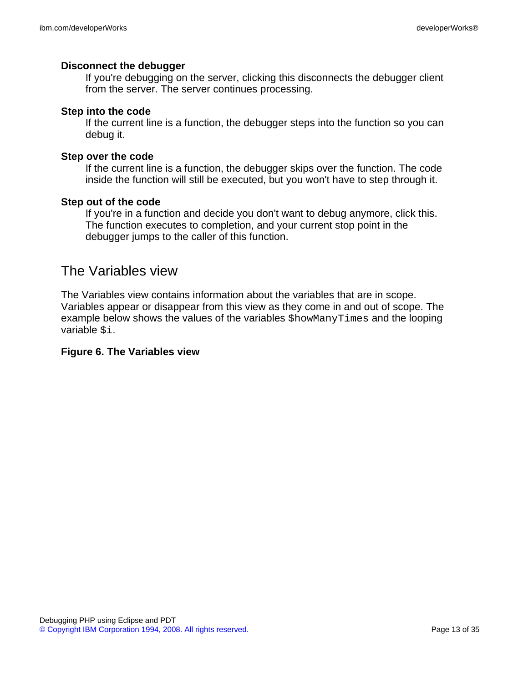#### **Disconnect the debugger**

If you're debugging on the server, clicking this disconnects the debugger client from the server. The server continues processing.

#### **Step into the code**

If the current line is a function, the debugger steps into the function so you can debug it.

#### **Step over the code**

If the current line is a function, the debugger skips over the function. The code inside the function will still be executed, but you won't have to step through it.

#### **Step out of the code**

If you're in a function and decide you don't want to debug anymore, click this. The function executes to completion, and your current stop point in the debugger jumps to the caller of this function.

### The Variables view

The Variables view contains information about the variables that are in scope. Variables appear or disappear from this view as they come in and out of scope. The example below shows the values of the variables \$howManyTimes and the looping variable \$i.

#### **Figure 6. The Variables view**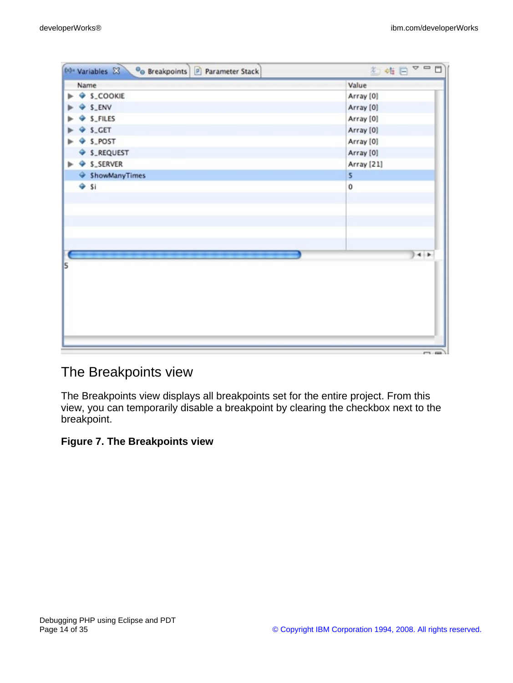| (b)= Variables 23<br><b>O</b> Breakpoints   P Parameter Stack | 約帷目▽□□     |
|---------------------------------------------------------------|------------|
| Name                                                          | Value      |
| ♦ \$_COOKIE                                                   | Array [0]  |
| \$.ENV                                                        | Array [0]  |
| S_FILES                                                       | Array [0]  |
| $\div$ S_GET                                                  | Array [0]  |
| $4$ S_POST                                                    | Array [0]  |
| S_REQUEST                                                     | Array [0]  |
| $\triangleright \blacklozenge$ S_SERVER                       | Array [21] |
| ShowManyTimes                                                 | 5          |
| 951                                                           | 0          |
|                                                               |            |
|                                                               |            |
|                                                               |            |
|                                                               |            |
|                                                               | $+ +$      |
| 5                                                             |            |
|                                                               |            |
|                                                               |            |
|                                                               |            |
|                                                               |            |
|                                                               |            |
|                                                               |            |
|                                                               |            |
|                                                               | $\Box$     |

# The Breakpoints view

The Breakpoints view displays all breakpoints set for the entire project. From this view, you can temporarily disable a breakpoint by clearing the checkbox next to the breakpoint.

### **Figure 7. The Breakpoints view**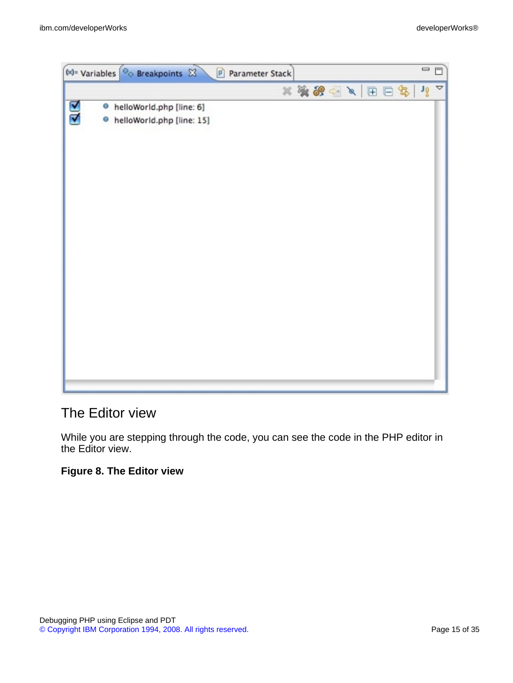

# The Editor view

While you are stepping through the code, you can see the code in the PHP editor in the Editor view.

### **Figure 8. The Editor view**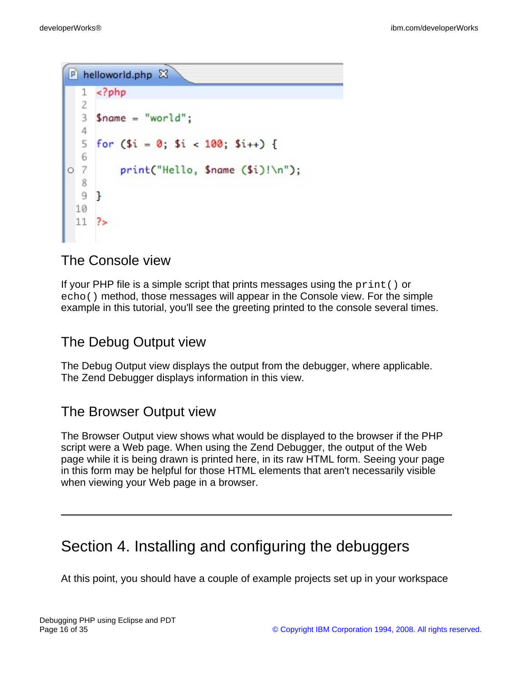```
P helloworld.php \boxtimes<?php
    1
   \overline{2}3
       $name = "world";4
   5
       for (\frac{1}{2}i - 0; \frac{1}{2}i < 100; \frac{1}{2}i++) {
   6
   7
              print("Hello, \t$name ($i)!\n\\n");
\circ8
   9
       ŀ
  10
  11 \frac{2}{5}
```
## The Console view

If your PHP file is a simple script that prints messages using the print() or echo() method, those messages will appear in the Console view. For the simple example in this tutorial, you'll see the greeting printed to the console several times.

## The Debug Output view

The Debug Output view displays the output from the debugger, where applicable. The Zend Debugger displays information in this view.

### The Browser Output view

The Browser Output view shows what would be displayed to the browser if the PHP script were a Web page. When using the Zend Debugger, the output of the Web page while it is being drawn is printed here, in its raw HTML form. Seeing your page in this form may be helpful for those HTML elements that aren't necessarily visible when viewing your Web page in a browser.

# Section 4. Installing and configuring the debuggers

At this point, you should have a couple of example projects set up in your workspace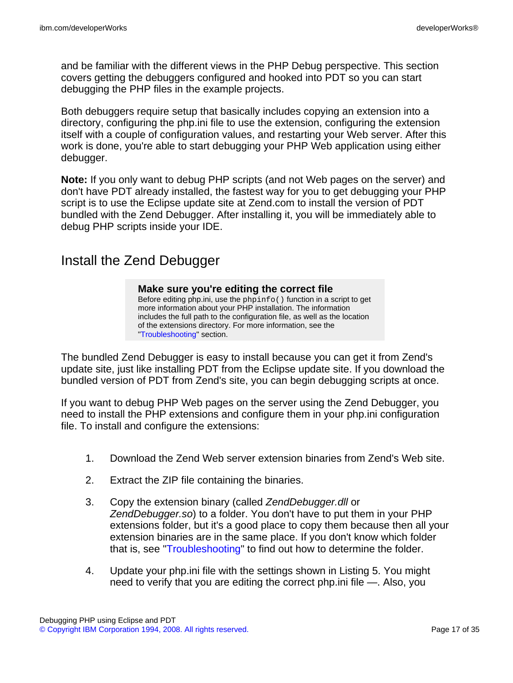and be familiar with the different views in the PHP Debug perspective. This section covers getting the debuggers configured and hooked into PDT so you can start debugging the PHP files in the example projects.

Both debuggers require setup that basically includes copying an extension into a directory, configuring the php.ini file to use the extension, configuring the extension itself with a couple of configuration values, and restarting your Web server. After this work is done, you're able to start debugging your PHP Web application using either debugger.

**Note:** If you only want to debug PHP scripts (and not Web pages on the server) and don't have PDT already installed, the fastest way for you to get debugging your PHP script is to use the Eclipse update site at Zend.com to install the version of PDT bundled with the Zend Debugger. After installing it, you will be immediately able to debug PHP scripts inside your IDE.

# Install the Zend Debugger

#### **Make sure you're editing the correct file**

Before editing php.ini, use the phpinfo() function in a script to get more information about your PHP installation. The information includes the full path to the configuration file, as well as the location of the extensions directory. For more information, see the ["Troubleshooting"](#page-29-0) section.

The bundled Zend Debugger is easy to install because you can get it from Zend's update site, just like installing PDT from the Eclipse update site. If you download the bundled version of PDT from Zend's site, you can begin debugging scripts at once.

If you want to debug PHP Web pages on the server using the Zend Debugger, you need to install the PHP extensions and configure them in your php.ini configuration file. To install and configure the extensions:

- 1. Download the Zend Web server extension binaries from Zend's Web site.
- 2. Extract the ZIP file containing the binaries.
- 3. Copy the extension binary (called ZendDebugger.dll or ZendDebugger.so) to a folder. You don't have to put them in your PHP extensions folder, but it's a good place to copy them because then all your extension binaries are in the same place. If you don't know which folder that is, see ["Troubleshooting](#page-29-0)" to find out how to determine the folder.
- 4. Update your php.ini file with the settings shown in Listing 5. You might need to verify that you are editing the correct php.ini file —. Also, you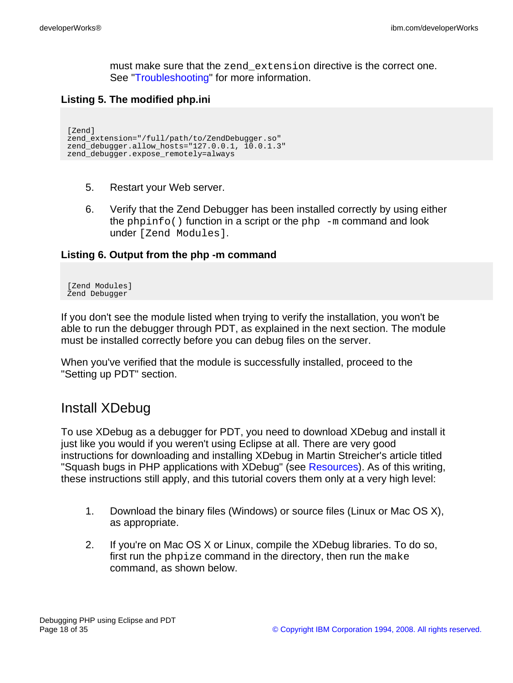must make sure that the zend\_extension directive is the correct one. See "[Troubleshooting"](#page-29-0) for more information.

#### **Listing 5. The modified php.ini**

```
[Zend]
zend_extension="/full/path/to/ZendDebugger.so"
zend_debugger.allow_hosts="127.0.0.1, 10.0.1.3"
zend_debugger.expose_remotely=always
```
- 5. Restart your Web server.
- 6. Verify that the Zend Debugger has been installed correctly by using either the phpinfo() function in a script or the php  $-m$  command and look under [Zend Modules].

#### **Listing 6. Output from the php -m command**

[Zend Modules] Zend Debugger

If you don't see the module listed when trying to verify the installation, you won't be able to run the debugger through PDT, as explained in the next section. The module must be installed correctly before you can debug files on the server.

When you've verified that the module is successfully installed, proceed to the "Setting up PDT" section.

### Install XDebug

To use XDebug as a debugger for PDT, you need to download XDebug and install it just like you would if you weren't using Eclipse at all. There are very good instructions for downloading and installing XDebug in Martin Streicher's article titled "Squash bugs in PHP applications with XDebug" (see [Resources\)](#page-33-0). As of this writing, these instructions still apply, and this tutorial covers them only at a very high level:

- 1. Download the binary files (Windows) or source files (Linux or Mac OS X), as appropriate.
- 2. If you're on Mac OS X or Linux, compile the XDebug libraries. To do so, first run the phpize command in the directory, then run the make command, as shown below.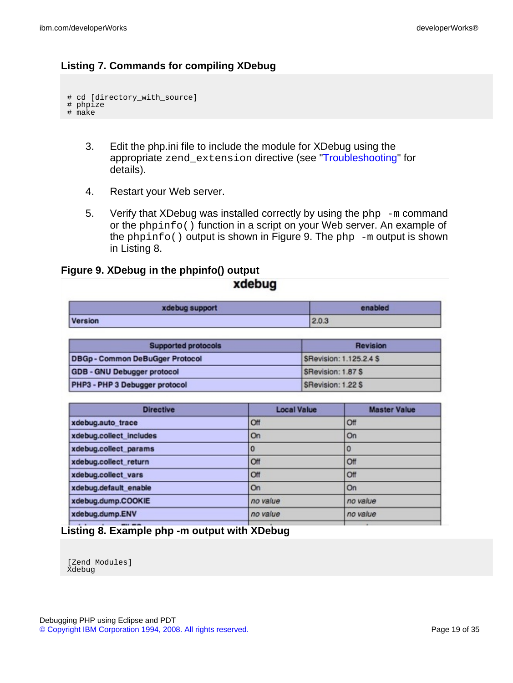### **Listing 7. Commands for compiling XDebug**

```
# cd [directory_with_source]
# phpize
# make
```
- 3. Edit the php.ini file to include the module for XDebug using the appropriate zend\_extension directive (see "[Troubleshooting"](#page-29-0) for details).
- 4. Restart your Web server.
- 5. Verify that XDebug was installed correctly by using the php -m command or the phpinfo() function in a script on your Web server. An example of the  $phpinfo()$  output is shown in Figure 9. The  $php -m$  output is shown in Listing 8.

### **Figure 9. XDebug in the phpinfo() output**

### xdebug

| xdebug support | enabled |
|----------------|---------|
| Version        | 2.0.3   |

| <b>Supported protocols</b>             | Revision                |
|----------------------------------------|-------------------------|
| <b>DBGp - Common DeBuGger Protocol</b> | SRevision: 1.125.2.4 \$ |
| <b>GDB - GNU Debugger protocol</b>     | SRevision: 1.87 S       |
| PHP3 - PHP 3 Debugger protocol         | SRevision: 1.22 S       |

| <b>Directive</b>        | <b>Local Value</b> | <b>Master Value</b> |
|-------------------------|--------------------|---------------------|
| xdebug.auto_trace       | Off                | Off                 |
| xdebug.collect_includes | On                 | On                  |
| xdebug.collect_params   | 10                 | 0                   |
| xdebug.collect_return   | Off                | Off                 |
| xdebug.collect_vars     | Off                | Off                 |
| xdebug.default_enable   | On                 | On                  |
| xdebug.dump.COOKIE      | no value           | no value            |
| xdebug.dump.ENV         | no value           | no value            |
|                         |                    |                     |

**Listing 8. Example php -m output with XDebug**

[Zend Modules] Xdebug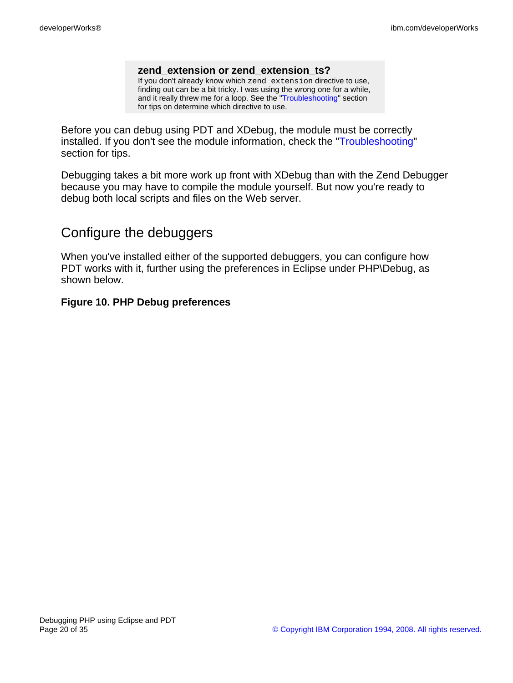#### **zend\_extension or zend\_extension\_ts?** If you don't already know which zend\_extension directive to use,

finding out can be a bit tricky. I was using the wrong one for a while, and it really threw me for a loop. See the ["Troubleshooting"](#page-29-0) section for tips on determine which directive to use.

Before you can debug using PDT and XDebug, the module must be correctly installed. If you don't see the module information, check the "[Troubleshooting"](#page-29-0) section for tips.

Debugging takes a bit more work up front with XDebug than with the Zend Debugger because you may have to compile the module yourself. But now you're ready to debug both local scripts and files on the Web server.

# Configure the debuggers

When you've installed either of the supported debuggers, you can configure how PDT works with it, further using the preferences in Eclipse under PHP\Debug, as shown below.

### **Figure 10. PHP Debug preferences**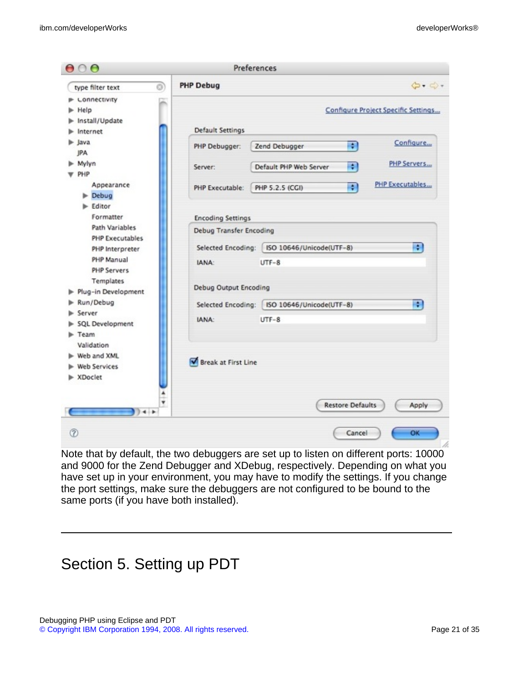| ම<br>type filter text                                                                                                                                              | <b>PHP Debug</b>                                                                                                      | $\Leftrightarrow$ $\Leftrightarrow$ $\Leftrightarrow$                                                                |
|--------------------------------------------------------------------------------------------------------------------------------------------------------------------|-----------------------------------------------------------------------------------------------------------------------|----------------------------------------------------------------------------------------------------------------------|
| <b>E</b> Connectivity<br>Help H<br>Install/Update<br>Internet<br>Java<br><b>JPA</b><br>Mylyn<br>PHP                                                                | Default Settings<br>PHP Debugger:<br>Server:                                                                          | Configure Project Specific Settings<br>Configure<br>H<br>Zend Debugger<br>PHP Servers<br>H<br>Default PHP Web Server |
| Appearance<br>$\blacktriangleright$ Debug<br>Editor                                                                                                                | PHP Executable:                                                                                                       | PHP Executables<br>H<br>PHP 5.2.5 (CGI)                                                                              |
| Formatter<br>Path Variables                                                                                                                                        | <b>Encoding Settings</b>                                                                                              |                                                                                                                      |
| <b>PHP Executables</b><br>PHP Interpreter<br>PHP Manual<br><b>PHP Servers</b><br>Templates<br>Plug-in Development<br>Run/Debug<br>Server<br><b>SQL Development</b> | <b>Debug Transfer Encoding</b><br>Selected Encoding:<br>IANA:<br>Debug Output Encoding<br>Selected Encoding:<br>IANA: | R<br>ISO 10646/Unicode(UTF-8)<br>$UTF-8$<br>÷<br>ISO 10646/Unicode(UTF-8)<br>$UTF-8$                                 |
| Team<br>Validation<br>Web and XML<br><b>Web Services</b><br>> XDoclet                                                                                              | Break at First Line                                                                                                   |                                                                                                                      |
| $\leftrightarrow$<br>$^{\circ}$                                                                                                                                    |                                                                                                                       | <b>Restore Defaults</b><br>Apply<br>ОК<br>Cancel                                                                     |

have set up in your environment, you may have to modify the settings. If you change the port settings, make sure the debuggers are not configured to be bound to the same ports (if you have both installed).

# Section 5. Setting up PDT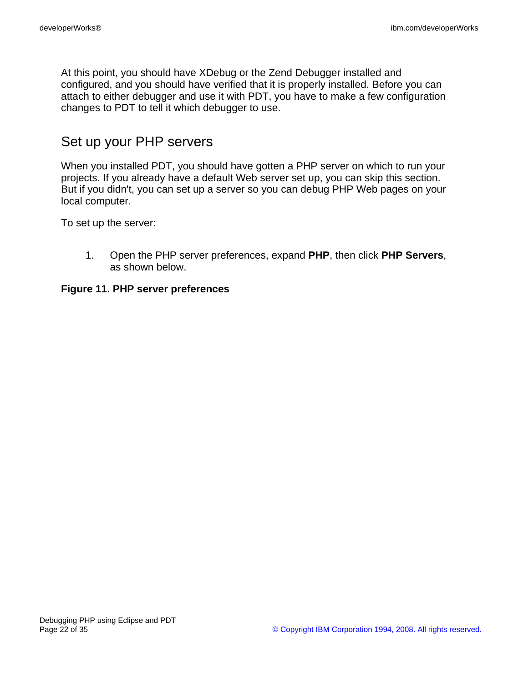At this point, you should have XDebug or the Zend Debugger installed and configured, and you should have verified that it is properly installed. Before you can attach to either debugger and use it with PDT, you have to make a few configuration changes to PDT to tell it which debugger to use.

## Set up your PHP servers

When you installed PDT, you should have gotten a PHP server on which to run your projects. If you already have a default Web server set up, you can skip this section. But if you didn't, you can set up a server so you can debug PHP Web pages on your local computer.

To set up the server:

1. Open the PHP server preferences, expand **PHP**, then click **PHP Servers**, as shown below.

#### **Figure 11. PHP server preferences**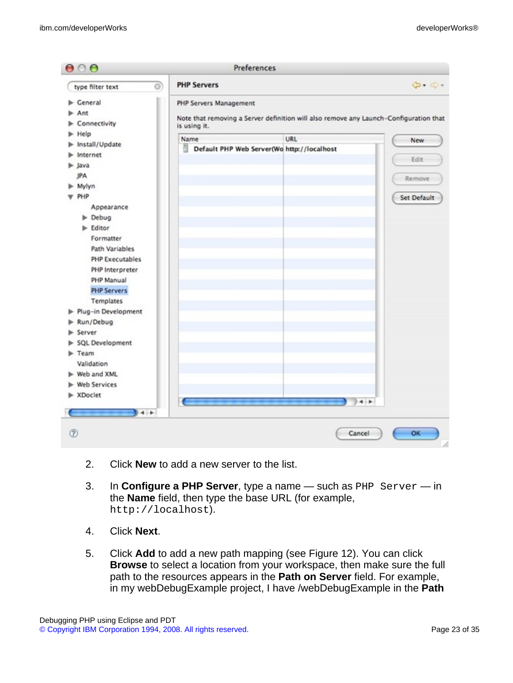| 000                                                                                                                                                                                                                                                                                                                                                                                                                                                                                                     | Preferences                                                                                                                            |                                                       |
|---------------------------------------------------------------------------------------------------------------------------------------------------------------------------------------------------------------------------------------------------------------------------------------------------------------------------------------------------------------------------------------------------------------------------------------------------------------------------------------------------------|----------------------------------------------------------------------------------------------------------------------------------------|-------------------------------------------------------|
| O)<br>type filter text                                                                                                                                                                                                                                                                                                                                                                                                                                                                                  | <b>PHP Servers</b>                                                                                                                     | $\Leftrightarrow$ $\Leftrightarrow$ $\Leftrightarrow$ |
| General<br>Ant<br>Connectivity                                                                                                                                                                                                                                                                                                                                                                                                                                                                          | <b>PHP Servers Management</b><br>Note that removing a Server definition will also remove any Launch-Configuration that<br>is using it. |                                                       |
| $\blacktriangleright$ Help<br>Install/Update<br>Internet<br>$\blacktriangleright$ Java<br><b>JPA</b><br>> Mylyn<br><b>W</b> PHP<br>Appearance<br>$\blacktriangleright$ Debug<br>$\blacktriangleright$ Editor<br>Formatter<br><b>Path Variables</b><br><b>PHP Executables</b><br>PHP Interpreter<br>PHP Manual<br><b>PHP Servers</b><br>Templates<br>Plug-in Development<br>Run/Debug<br>►<br>Server<br>►<br>> SQL Development<br>$F$ Team<br>Validation<br>> Web and XML<br>▶ Web Services<br>> XDoclet | Name<br>URL<br>Ħ<br>Default PHP Web Server(Wo http://localhost                                                                         | New<br>Edit<br>Remove<br>Set Default                  |

- 2. Click **New** to add a new server to the list.
- 3. In **Configure a PHP Server**, type a name such as PHP Server in the **Name** field, then type the base URL (for example, http://localhost).
- 4. Click **Next**.
- 5. Click **Add** to add a new path mapping (see Figure 12). You can click **Browse** to select a location from your workspace, then make sure the full path to the resources appears in the **Path on Server** field. For example, in my webDebugExample project, I have /webDebugExample in the **Path**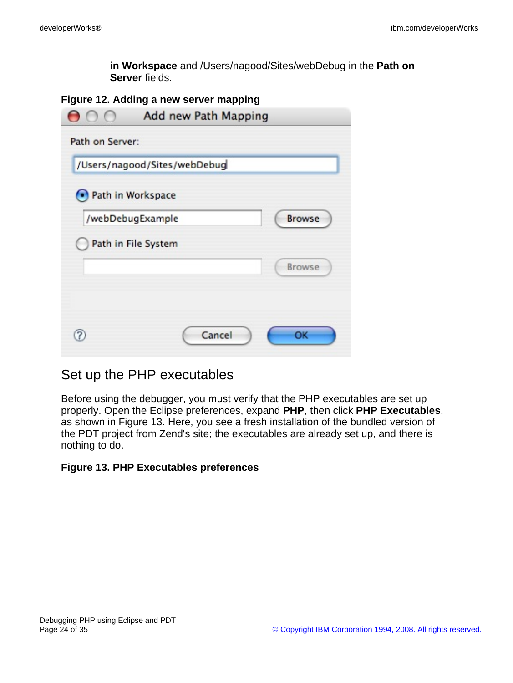**in Workspace** and /Users/nagood/Sites/webDebug in the **Path on Server** fields.

#### **Figure 12. Adding a new server mapping**

| Path on Server:       |                              |               |
|-----------------------|------------------------------|---------------|
|                       | /Users/nagood/Sites/webDebug |               |
| (•) Path in Workspace |                              |               |
| /webDebugExample      |                              | <b>Browse</b> |
| Path in File System   |                              |               |
|                       |                              | Browse        |

### Set up the PHP executables

Before using the debugger, you must verify that the PHP executables are set up properly. Open the Eclipse preferences, expand **PHP**, then click **PHP Executables**, as shown in Figure 13. Here, you see a fresh installation of the bundled version of the PDT project from Zend's site; the executables are already set up, and there is nothing to do.

#### **Figure 13. PHP Executables preferences**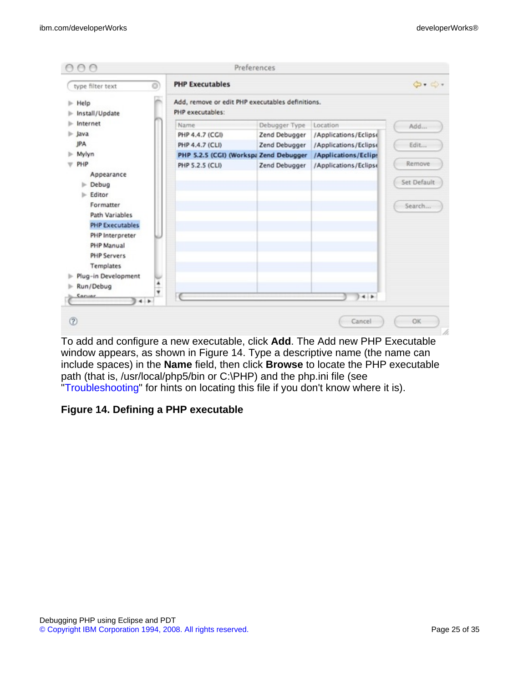| O)<br>type filter text   | <b>PHP Executables</b>                                               |               |                       | $\Leftrightarrow$ . |
|--------------------------|----------------------------------------------------------------------|---------------|-----------------------|---------------------|
| Help<br>Install/Update   | Add, remove or edit PHP executables definitions.<br>PHP executables: |               |                       |                     |
| Internet                 | Name                                                                 | Debugger Type | Location              | Add                 |
| Java                     | PHP 4.4.7 (CGI)                                                      | Zend Debugger | /Applications/Eclipse |                     |
| <b>JPA</b>               | PHP 4.4.7 (CLI)                                                      | Zend Debugger | /Applications/Eclipse | Edit                |
| Mylyn                    | PHP 5.2.5 (CGI) (Workspa Zend Debugger                               |               | /Applications/Eclips  |                     |
| PHP                      | PHP 5.2.5 (CLI)                                                      | Zend Debugger | /Applications/Eclipse | Remove              |
| Appearance               |                                                                      |               |                       | Set Default         |
| Debug                    |                                                                      |               |                       |                     |
| Editor                   |                                                                      |               |                       |                     |
| Formatter                |                                                                      |               |                       | Search              |
| Path Variables           |                                                                      |               |                       |                     |
| <b>PHP Executables</b>   |                                                                      |               |                       |                     |
| PHP Interpreter          |                                                                      |               |                       |                     |
| PHP Manual               |                                                                      |               |                       |                     |
| <b>PHP Servers</b>       |                                                                      |               |                       |                     |
| Templates                |                                                                      |               |                       |                     |
| Plug-in Development<br>۰ |                                                                      |               |                       |                     |
| Run/Debug<br>÷           |                                                                      |               |                       |                     |
| Caruar<br>$\leftarrow$   |                                                                      |               | $\leftarrow$          |                     |

To add and configure a new executable, click **Add**. The Add new PHP Executable window appears, as shown in Figure 14. Type a descriptive name (the name can include spaces) in the **Name** field, then click **Browse** to locate the PHP executable path (that is, /usr/local/php5/bin or C:\PHP) and the php.ini file (see "Troubleshooting" for hints on locating this file if you don't know where it is).

### **Figure 14. Defining a PHP executable**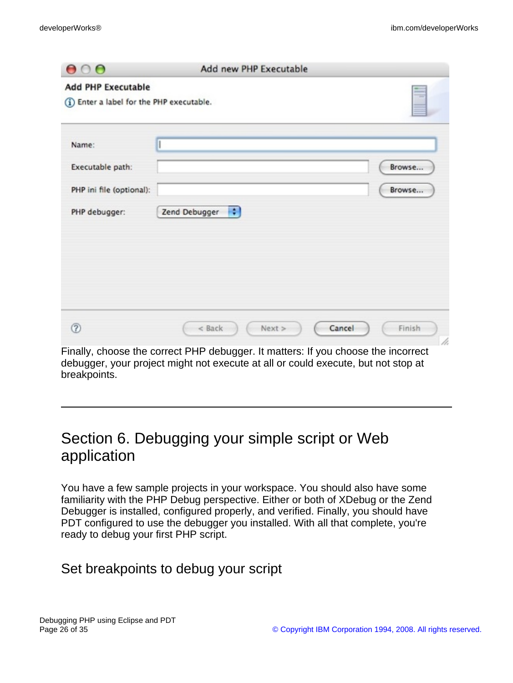| 000                                                                    | Add new PHP Executable                                                            |        |
|------------------------------------------------------------------------|-----------------------------------------------------------------------------------|--------|
| <b>Add PHP Executable</b><br>(i) Enter a label for the PHP executable. |                                                                                   |        |
| Name:                                                                  |                                                                                   |        |
| Executable path:                                                       |                                                                                   | Browse |
| PHP ini file (optional):                                               |                                                                                   | Browse |
| PHP debugger:                                                          | m<br>Zend Debugger                                                                |        |
|                                                                        |                                                                                   |        |
|                                                                        |                                                                                   |        |
|                                                                        |                                                                                   |        |
|                                                                        |                                                                                   |        |
| ℗                                                                      | $<$ Back<br>Next<br>Cancel                                                        | Finish |
|                                                                        | Finally, choose the correct PHP debugger. It matters: If you choose the incorrect | h.     |

debugger, your project might not execute at all or could execute, but not stop at breakpoints.

# Section 6. Debugging your simple script or Web application

You have a few sample projects in your workspace. You should also have some familiarity with the PHP Debug perspective. Either or both of XDebug or the Zend Debugger is installed, configured properly, and verified. Finally, you should have PDT configured to use the debugger you installed. With all that complete, you're ready to debug your first PHP script.

# Set breakpoints to debug your script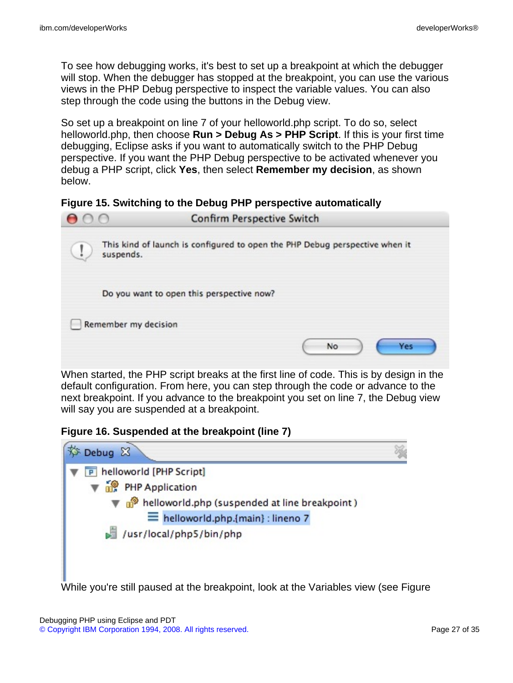To see how debugging works, it's best to set up a breakpoint at which the debugger will stop. When the debugger has stopped at the breakpoint, you can use the various views in the PHP Debug perspective to inspect the variable values. You can also step through the code using the buttons in the Debug view.

So set up a breakpoint on line 7 of your helloworld.php script. To do so, select helloworld.php, then choose **Run > Debug As > PHP Script**. If this is your first time debugging, Eclipse asks if you want to automatically switch to the PHP Debug perspective. If you want the PHP Debug perspective to be activated whenever you debug a PHP script, click **Yes**, then select **Remember my decision**, as shown below.

#### **Figure 15. Switching to the Debug PHP perspective automatically**

| <b>Confirm Perspective Switch</b><br>$\bigcirc$ $\bigcirc$                               |
|------------------------------------------------------------------------------------------|
| This kind of launch is configured to open the PHP Debug perspective when it<br>suspends. |
| Do you want to open this perspective now?                                                |
| Remember my decision                                                                     |
| No<br>Yes                                                                                |

When started, the PHP script breaks at the first line of code. This is by design in the default configuration. From here, you can step through the code or advance to the next breakpoint. If you advance to the breakpoint you set on line 7, the Debug view will say you are suspended at a breakpoint.

#### **Figure 16. Suspended at the breakpoint (line 7)**

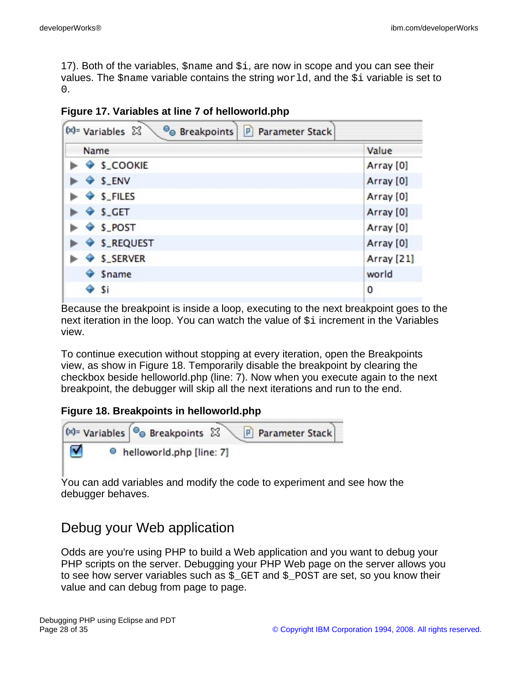17). Both of the variables, \$name and \$i, are now in scope and you can see their values. The \$name variable contains the string world, and the \$i variable is set to 0.

| Figure 17. Variables at line 7 of helloworld.php |  |  |  |  |  |
|--------------------------------------------------|--|--|--|--|--|
|--------------------------------------------------|--|--|--|--|--|

| $(x)$ = Variables $23$<br>P Parameter Stack<br><sup>O</sup> Breakpoints<br>Name | Value      |
|---------------------------------------------------------------------------------|------------|
| $$$ _COOKIE                                                                     | Array [0]  |
| $$$ S_ENV                                                                       | Array [0]  |
| $\triangleright$ $\triangleleft$ S_FILES                                        | Array [0]  |
| $\triangle$ \$ GET                                                              | Array [0]  |
| $$$ S_POST                                                                      | Array [0]  |
| $\triangleright$ $\triangleleft$ S_REQUEST                                      | Array [0]  |
| ♦ \$_SERVER                                                                     | Array [21] |
| $•$ Sname                                                                       | world      |
| \$i                                                                             | 0          |

Because the breakpoint is inside a loop, executing to the next breakpoint goes to the next iteration in the loop. You can watch the value of  $\sin$  increment in the Variables view.

To continue execution without stopping at every iteration, open the Breakpoints view, as show in Figure 18. Temporarily disable the breakpoint by clearing the checkbox beside helloworld.php (line: 7). Now when you execute again to the next breakpoint, the debugger will skip all the next iterations and run to the end.

#### **Figure 18. Breakpoints in helloworld.php**



You can add variables and modify the code to experiment and see how the debugger behaves.

## Debug your Web application

Odds are you're using PHP to build a Web application and you want to debug your PHP scripts on the server. Debugging your PHP Web page on the server allows you to see how server variables such as  $\frac{1}{5}$  GET and  $\frac{1}{5}$  POST are set, so you know their value and can debug from page to page.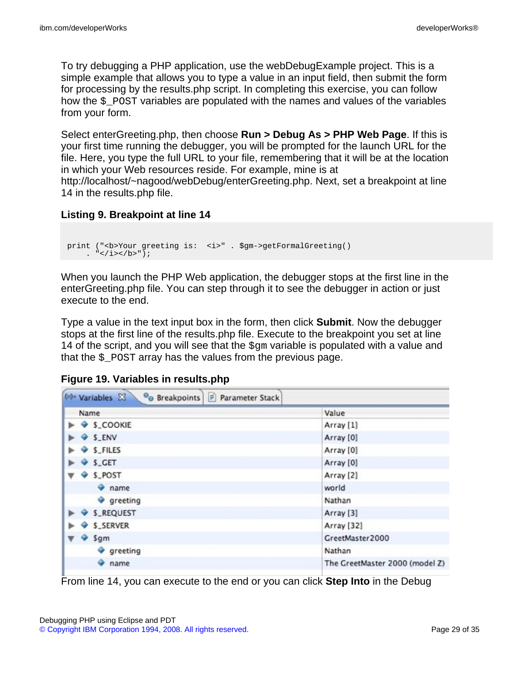To try debugging a PHP application, use the webDebugExample project. This is a simple example that allows you to type a value in an input field, then submit the form for processing by the results.php script. In completing this exercise, you can follow how the \$\_POST variables are populated with the names and values of the variables from your form.

Select enterGreeting.php, then choose **Run > Debug As > PHP Web Page**. If this is your first time running the debugger, you will be prompted for the launch URL for the file. Here, you type the full URL to your file, remembering that it will be at the location in which your Web resources reside. For example, mine is at http://localhost/~nagood/webDebug/enterGreeting.php. Next, set a breakpoint at line 14 in the results.php file.

**Listing 9. Breakpoint at line 14**

```
print ("<b>Your greeting is: <i>" . $gm->getFormalGreeting()
  . "</i></b>");
```
When you launch the PHP Web application, the debugger stops at the first line in the enterGreeting.php file. You can step through it to see the debugger in action or just execute to the end.

Type a value in the text input box in the form, then click **Submit**. Now the debugger stops at the first line of the results.php file. Execute to the breakpoint you set at line 14 of the script, and you will see that the  $\frac{1}{2}$ gm variable is populated with a value and that the  $\frac{1}{2}$  post array has the values from the previous page.

**Figure 19. Variables in results.php**

| <sup>o</sup> Breakpoints<br>00 Variables &<br>P Parameter Stack |                                |
|-----------------------------------------------------------------|--------------------------------|
| Name                                                            | Value                          |
| $$$ _COOKIE                                                     | Array [1]                      |
| $S$ _ENV                                                        | Array [0]                      |
| $S$ FILES                                                       | Array [0]                      |
| \$~CET                                                          | Array [0]                      |
| <b>♦ S_POST</b>                                                 | Array [2]                      |
| $\triangleq$ name                                               | world                          |
| $\bullet$ greeting                                              | Nathan                         |
| ♦ S_REQUEST                                                     | Array [3]                      |
| S_SERVER                                                        | Array [32]                     |
| $\Psi \triangleq$ Sgm                                           | GreetMaster2000                |
| $\blacklozenge$ greeting                                        | Nathan                         |
| name                                                            | The GreetMaster 2000 (model Z) |
|                                                                 |                                |

From line 14, you can execute to the end or you can click **Step Into** in the Debug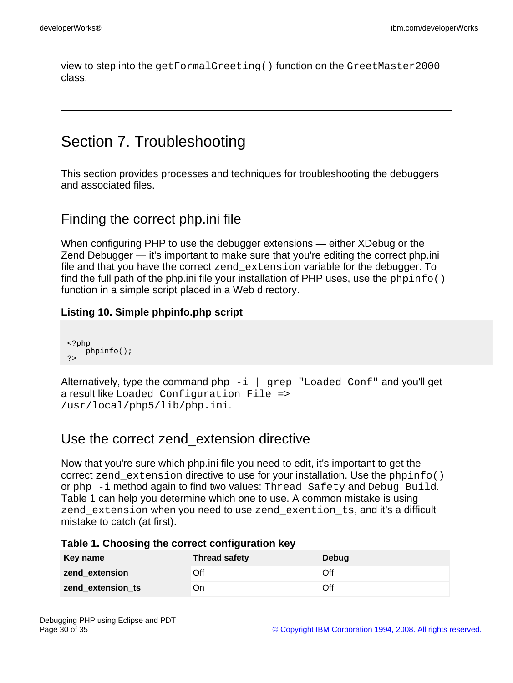view to step into the getFormalGreeting() function on the GreetMaster2000 class.

# <span id="page-29-0"></span>Section 7. Troubleshooting

This section provides processes and techniques for troubleshooting the debuggers and associated files.

# Finding the correct php.ini file

When configuring PHP to use the debugger extensions — either XDebug or the Zend Debugger — it's important to make sure that you're editing the correct php.ini file and that you have the correct zend\_extension variable for the debugger. To find the full path of the php.ini file your installation of PHP uses, use the  $phpinfo()$ function in a simple script placed in a Web directory.

### **Listing 10. Simple phpinfo.php script**

```
<?php
   phpinfo();
?>
```
Alternatively, type the command  $php -i \mid grep$  "Loaded Conf" and you'll get a result like Loaded Configuration File => /usr/local/php5/lib/php.ini.

# Use the correct zend\_extension directive

Now that you're sure which php.ini file you need to edit, it's important to get the correct zend extension directive to use for your installation. Use the phpinfo() or php -i method again to find two values: Thread Safety and Debug Build. Table 1 can help you determine which one to use. A common mistake is using zend\_extension when you need to use zend\_exention\_ts, and it's a difficult mistake to catch (at first).

|  | Table 1. Choosing the correct configuration key |  |  |  |  |  |
|--|-------------------------------------------------|--|--|--|--|--|
|--|-------------------------------------------------|--|--|--|--|--|

| Key name          | <b>Thread safety</b> | Debug |
|-------------------|----------------------|-------|
| zend extension    | Off                  | Off   |
| zend_extension_ts | On                   | Off   |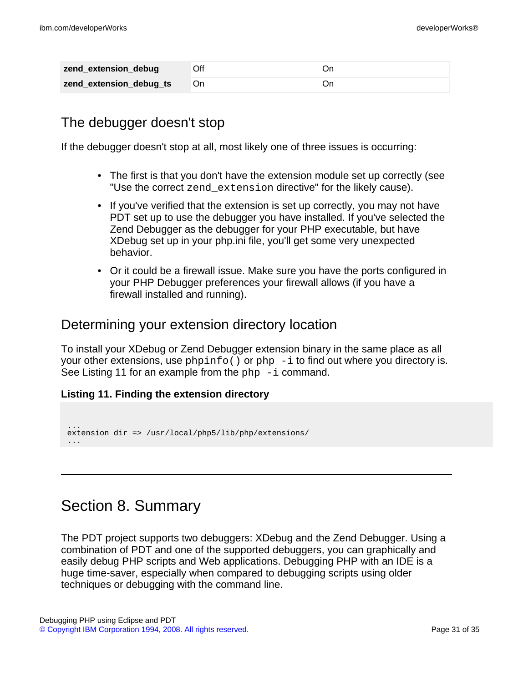| zend_extension_debug    | Off | Or |
|-------------------------|-----|----|
| zend_extension_debug_ts |     | On |

## The debugger doesn't stop

If the debugger doesn't stop at all, most likely one of three issues is occurring:

- The first is that you don't have the extension module set up correctly (see "Use the correct zend extension directive" for the likely cause).
- If you've verified that the extension is set up correctly, you may not have PDT set up to use the debugger you have installed. If you've selected the Zend Debugger as the debugger for your PHP executable, but have XDebug set up in your php.ini file, you'll get some very unexpected behavior.
- Or it could be a firewall issue. Make sure you have the ports configured in your PHP Debugger preferences your firewall allows (if you have a firewall installed and running).

### Determining your extension directory location

To install your XDebug or Zend Debugger extension binary in the same place as all your other extensions, use  $php$  info () or php  $-i$  to find out where you directory is. See Listing 11 for an example from the  $php -i$  command.

#### **Listing 11. Finding the extension directory**

```
...
extension_dir => /usr/local/php5/lib/php/extensions/
...
```
# Section 8. Summary

The PDT project supports two debuggers: XDebug and the Zend Debugger. Using a combination of PDT and one of the supported debuggers, you can graphically and easily debug PHP scripts and Web applications. Debugging PHP with an IDE is a huge time-saver, especially when compared to debugging scripts using older techniques or debugging with the command line.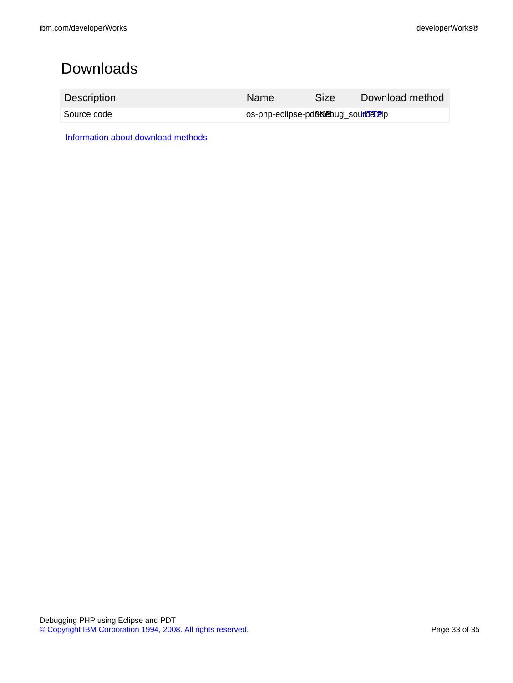# <span id="page-32-0"></span>Downloads

| Description | <b>Name</b>                                               | <b>Size</b> | Download method |
|-------------|-----------------------------------------------------------|-------------|-----------------|
| Source code | os-php-eclipse-pd8 <b>ke</b> bug_sourlde. <del>P</del> ip |             |                 |

[Information about download methods](http://www.ibm.com/developerworks/library/whichmethod.html)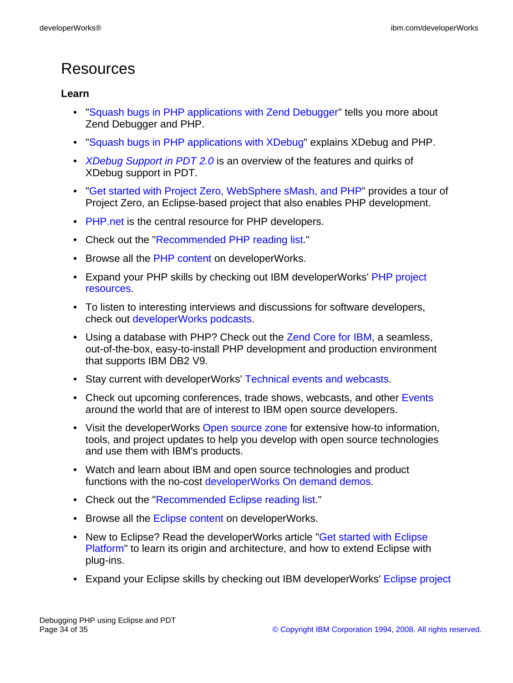# <span id="page-33-0"></span>Resources

### **Learn**

- • ["Squash bugs in PHP applications with Zend Debugger](http://www.ibm.com/developerworks/opensource/library/os-php-zenddebug/)" tells you more about Zend Debugger and PHP.
- • ["Squash bugs in PHP applications with XDebug](http://www.ibm.com/developerworks/opensource/library/os-php-xdebug/)" explains XDebug and PHP.
- [XDebug Support in PDT 2.0](#page-0-0) is an overview of the features and quirks of XDebug support in PDT.
- • ["Get started with Project Zero, WebSphere sMash, and PHP"](http://www.ibm.com/developerworks/library/wa-pz-intro/) provides a tour of Project Zero, an Eclipse-based project that also enables PHP development.
- [PHP.net](http://www.php.net) is the central resource for PHP developers.
- Check out th[e "Recommended PHP reading list.](http://www.ibm.com/developerworks/library/os-php-read)"
- Browse all the [PHP content](http://www.ibm.com/developerworks/views/opensource/libraryview.jsp?search_by=php) on developerWorks.
- Expand your PHP skills by checking out IBM developerWorks' [PHP project](http://www.ibm.com/developerworks/opensource/top-projects/php.html) [resources.](http://www.ibm.com/developerworks/opensource/top-projects/php.html)
- To listen to interesting interviews and discussions for software developers, check out [developerWorks podcasts.](http://www.ibm.com/developerworks/podcast/)
- Using a database with PHP? Check out the [Zend Core for IBM](http://www-306.ibm.com/software/data/info/zendcore/), a seamless, out-of-the-box, easy-to-install PHP development and production environment that supports IBM DB2 V9.
- Stay current with developerWorks' [Technical events and webcasts.](http://www.ibm.com/developerworks/offers/techbriefings/)
- Check out upcoming conferences, trade shows, webcasts, and other [Events](http://www.ibm.com/developerworks/views/opensource/events.jsp) around the world that are of interest to IBM open source developers.
- Visit the developerWorks [Open source zone](http://www.ibm.com/developerworks/opensource) for extensive how-to information, tools, and project updates to help you develop with open source technologies and use them with IBM's products.
- Watch and learn about IBM and open source technologies and product functions with the no-cost [developerWorks On demand demos](http://www.ibm.com/developerworks/offers/lp/demos/).
- Check out th[e "Recommended Eclipse reading list.](http://www.ibm.com/developerworks/library/os-ecl-read)"
- Browse all the [Eclipse content](http://www.ibm.com/developerworks/views/opensource/libraryview.jsp?search_by=eclipse) on developer Works.
- New to Eclipse? Read the developerWorks article ["Get started with Eclipse](http://www.ibm.com/developerworks/opensource/library/os-eclipse-platform/) [Platform"](http://www.ibm.com/developerworks/opensource/library/os-eclipse-platform/) to learn its origin and architecture, and how to extend Eclipse with plug-ins.
- Expand your Eclipse skills by checking out IBM developerWorks' Eclipse project